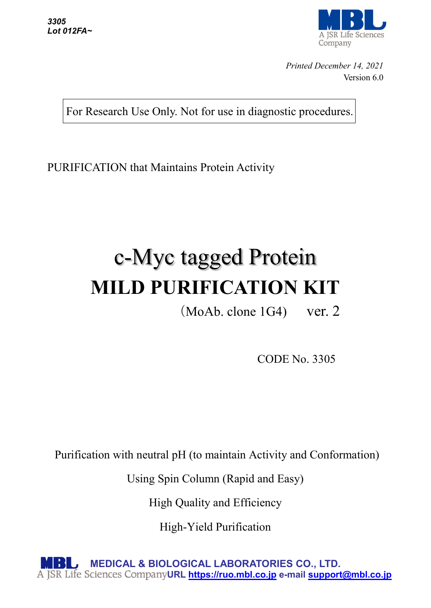

*Printed December 14, 2021* Version 6.0

For Research Use Only. Not for use in diagnostic procedures.

PURIFICATION that Maintains Protein Activity

# c-Myc tagged Protein **MILD PURIFICATION KIT**

(MoAb. clone 1G4) ver. 2

CODE No. 3305

Purification with neutral pH (to maintain Activity and Conformation)

Using Spin Column (Rapid and Easy)

High Quality and Efficiency

High-Yield Purification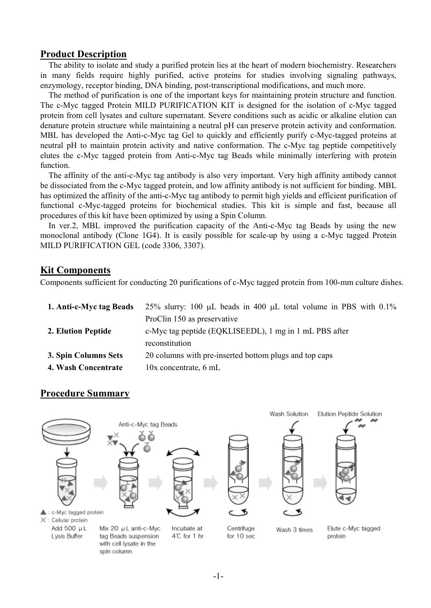#### **Product Description**

The ability to isolate and study a purified protein lies at the heart of modern biochemistry. Researchers in many fields require highly purified, active proteins for studies involving signaling pathways, enzymology, receptor binding, DNA binding, post-transcriptional modifications, and much more.

The method of purification is one of the important keys for maintaining protein structure and function. The c-Myc tagged Protein MILD PURIFICATION KIT is designed for the isolation of c-Myc tagged protein from cell lysates and culture supernatant. Severe conditions such as acidic or alkaline elution can denature protein structure while maintaining a neutral pH can preserve protein activity and conformation. MBL has developed the Anti-c-Myc tag Gel to quickly and efficiently purify c-Myc-tagged proteins at neutral pH to maintain protein activity and native conformation. The c-Myc tag peptide competitively elutes the c-Myc tagged protein from Anti-c-Myc tag Beads while minimally interfering with protein function.

The affinity of the anti-c-Myc tag antibody is also very important. Very high affinity antibody cannot be dissociated from the c-Myc tagged protein, and low affinity antibody is not sufficient for binding. MBL has optimized the affinity of the anti-c-Myc tag antibody to permit high yields and efficient purification of functional c-Myc-tagged proteins for biochemical studies. This kit is simple and fast, because all procedures of this kit have been optimized by using a Spin Column.

In ver.2, MBL improved the purification capacity of the Anti-c-Myc tag Beads by using the new monoclonal antibody (Clone 1G4). It is easily possible for scale-up by using a c-Myc tagged Protein MILD PURIFICATION GEL (code 3306, 3307).

#### **Kit Components**

Components sufficient for conducting 20 purifications of c-Myc tagged protein from 100-mm culture dishes.

| 1. Anti-c-Myc tag Beads | 25% slurry: 100 µL beads in 400 µL total volume in PBS with 0.1% |
|-------------------------|------------------------------------------------------------------|
|                         | ProClin 150 as preservative                                      |
| 2. Elution Peptide      | c-Myc tag peptide (EQKLISEEDL), 1 mg in 1 mL PBS after           |
|                         | reconstitution                                                   |
| 3. Spin Columns Sets    | 20 columns with pre-inserted bottom plugs and top caps           |
| 4. Wash Concentrate     | $10x$ concentrate, 6 mL                                          |

#### **Procedure Summary**

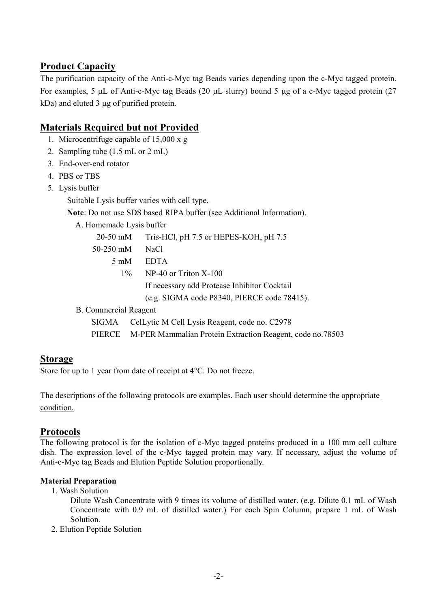# **Product Capacity**

The purification capacity of the Anti-c-Myc tag Beads varies depending upon the c-Myc tagged protein. For examples, 5 µL of Anti-c-Myc tag Beads (20 µL slurry) bound 5 µg of a c-Myc tagged protein (27 kDa) and eluted 3 ug of purified protein.

## **Materials Required but not Provided**

- 1. Microcentrifuge capable of 15,000 x g
- 2. Sampling tube (1.5 mL or 2 mL)
- 3. End-over-end rotator
- 4. PBS or TBS
- 5. Lysis buffer

Suitable Lysis buffer varies with cell type.

**Note**: Do not use SDS based RIPA buffer (see Additional Information).

A. Homemade Lysis buffer

20-50 mM Tris-HCl, pH 7.5 or HEPES-KOH, pH 7.5

- 50-250 mM NaCl
	- 5 mM EDTA
		- 1% NP-40 or Triton X-100

If necessary add Protease Inhibitor Cocktail

(e.g. SIGMA code P8340, PIERCE code 78415).

B. Commercial Reagent

SIGMA CelLytic M Cell Lysis Reagent, code no. C2978

PIERCE M-PER Mammalian Protein Extraction Reagent, code no.78503

#### **Storage**

Store for up to 1 year from date of receipt at 4°C. Do not freeze.

The descriptions of the following protocols are examples. Each user should determine the appropriate condition.

#### **Protocols**

The following protocol is for the isolation of c-Myc tagged proteins produced in a 100 mm cell culture dish. The expression level of the c-Myc tagged protein may vary. If necessary, adjust the volume of Anti-c-Myc tag Beads and Elution Peptide Solution proportionally.

#### **Material Preparation**

1. Wash Solution

 Dilute Wash Concentrate with 9 times its volume of distilled water. (e.g. Dilute 0.1 mL of Wash Concentrate with 0.9 mL of distilled water.) For each Spin Column, prepare 1 mL of Wash Solution.

2. Elution Peptide Solution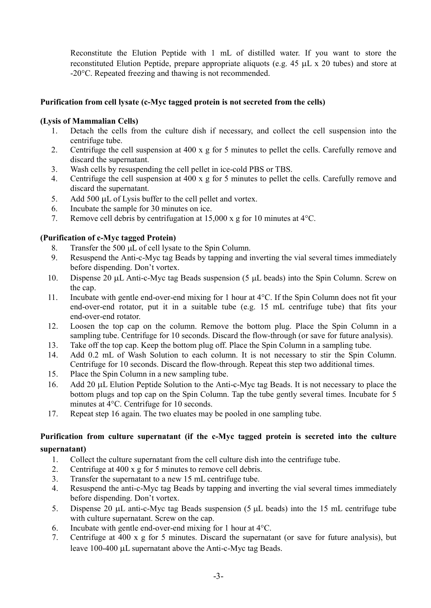Reconstitute the Elution Peptide with 1 mL of distilled water. If you want to store the reconstituted Elution Peptide, prepare appropriate aliquots (e.g. 45 µL x 20 tubes) and store at -20°C. Repeated freezing and thawing is not recommended.

#### **Purification from cell lysate (c-Myc tagged protein is not secreted from the cells)**

#### **(Lysis of Mammalian Cells)**

- 1. Detach the cells from the culture dish if necessary, and collect the cell suspension into the centrifuge tube.
- 2. Centrifuge the cell suspension at 400 x g for 5 minutes to pellet the cells. Carefully remove and discard the supernatant.
- 3. Wash cells by resuspending the cell pellet in ice-cold PBS or TBS.
- 4. Centrifuge the cell suspension at 400 x g for 5 minutes to pellet the cells. Carefully remove and discard the supernatant.
- 5. Add 500 µL of Lysis buffer to the cell pellet and vortex.
- 6. Incubate the sample for  $30$  minutes on ice.<br>7. Remove cell debris by centrifugation at 15.
- Remove cell debris by centrifugation at 15,000 x g for 10 minutes at  $4^{\circ}$ C.

#### **(Purification of c-Myc tagged Protein)**

- 8. Transfer the 500 µL of cell lysate to the Spin Column.
- 9. Resuspend the Anti-c-Myc tag Beads by tapping and inverting the vial several times immediately before dispending. Don't vortex.
- 10. Dispense 20 µL Anti-c-Myc tag Beads suspension (5 µL beads) into the Spin Column. Screw on the cap.
- 11. Incubate with gentle end-over-end mixing for 1 hour at 4°C. If the Spin Column does not fit your end-over-end rotator, put it in a suitable tube (e.g. 15 mL centrifuge tube) that fits your end-over-end rotator.
- 12. Loosen the top cap on the column. Remove the bottom plug. Place the Spin Column in a sampling tube. Centrifuge for 10 seconds. Discard the flow-through (or save for future analysis).
- 13. Take off the top cap. Keep the bottom plug off. Place the Spin Column in a sampling tube.
- 14. Add 0.2 mL of Wash Solution to each column. It is not necessary to stir the Spin Column. Centrifuge for 10 seconds. Discard the flow-through. Repeat this step two additional times.
- 15. Place the Spin Column in a new sampling tube.
- 16. Add 20 µL Elution Peptide Solution to the Anti-c-Myc tag Beads. It is not necessary to place the bottom plugs and top cap on the Spin Column. Tap the tube gently several times. Incubate for 5 minutes at 4°C. Centrifuge for 10 seconds.
- 17. Repeat step 16 again. The two eluates may be pooled in one sampling tube.

#### **Purification from culture supernatant (if the c-Myc tagged protein is secreted into the culture supernatant)**

- 1. Collect the culture supernatant from the cell culture dish into the centrifuge tube.
- 2. Centrifuge at 400 x g for 5 minutes to remove cell debris.
- 3. Transfer the supernatant to a new 15 mL centrifuge tube.
- 4. Resuspend the anti-c-Myc tag Beads by tapping and inverting the vial several times immediately before dispending. Don't vortex.
- 5. Dispense 20  $\mu$ L anti-c-Myc tag Beads suspension (5  $\mu$ L beads) into the 15 mL centrifuge tube with culture supernatant. Screw on the cap.
- 6. Incubate with gentle end-over-end mixing for 1 hour at 4°C.
- 7. Centrifuge at 400 x g for 5 minutes. Discard the supernatant (or save for future analysis), but leave 100-400 µL supernatant above the Anti-c-Myc tag Beads.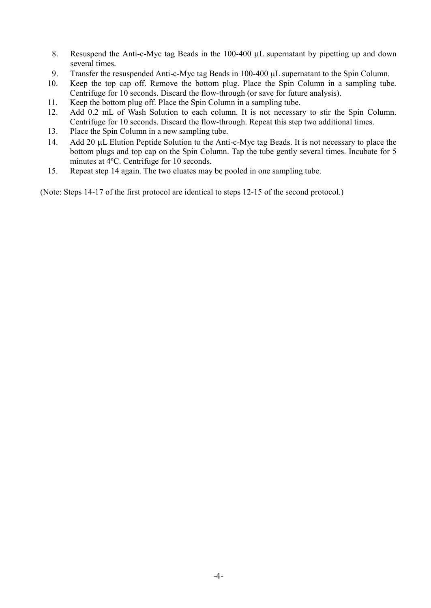- 8. Resuspend the Anti-c-Myc tag Beads in the 100-400 µL supernatant by pipetting up and down several times.
- 9. Transfer the resuspended Anti-c-Myc tag Beads in 100-400 µL supernatant to the Spin Column.
- 10. Keep the top cap off. Remove the bottom plug. Place the Spin Column in a sampling tube. Centrifuge for 10 seconds. Discard the flow-through (or save for future analysis).
- 11. Keep the bottom plug off. Place the Spin Column in a sampling tube.
- 12. Add 0.2 mL of Wash Solution to each column. It is not necessary to stir the Spin Column. Centrifuge for 10 seconds. Discard the flow-through. Repeat this step two additional times.
- 13. Place the Spin Column in a new sampling tube.
- 14. Add 20 µL Elution Peptide Solution to the Anti-c-Myc tag Beads. It is not necessary to place the bottom plugs and top cap on the Spin Column. Tap the tube gently several times. Incubate for 5 minutes at 4ºC. Centrifuge for 10 seconds.
- 15. Repeat step 14 again. The two eluates may be pooled in one sampling tube.

(Note: Steps 14-17 of the first protocol are identical to steps 12-15 of the second protocol.)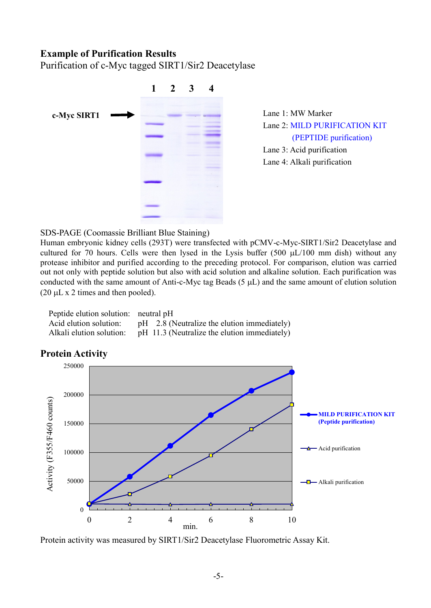#### **Example of Purification Results**

Purification of c-Myc tagged SIRT1/Sir2 Deacetylase



Lane 1: MW Marker Lane 2: MILD PURIFICATION KIT (PEPTIDE purification) Lane 3: Acid purification Lane 4: Alkali purification

#### SDS-PAGE (Coomassie Brilliant Blue Staining)

Human embryonic kidney cells (293T) were transfected with pCMV-c-Myc-SIRT1/Sir2 Deacetylase and cultured for 70 hours. Cells were then lysed in the Lysis buffer (500 µL/100 mm dish) without any protease inhibitor and purified according to the preceding protocol. For comparison, elution was carried out not only with peptide solution but also with acid solution and alkaline solution. Each purification was conducted with the same amount of Anti-c-Myc tag Beads (5 µL) and the same amount of elution solution  $(20 \mu L \times 2 \times 2)$  times and then pooled).

| Peptide elution solution: neutral pH |                                                                       |
|--------------------------------------|-----------------------------------------------------------------------|
|                                      | Acid elution solution: pH 2.8 (Neutralize the elution immediately)    |
|                                      | Alkali elution solution: pH 11.3 (Neutralize the elution immediately) |



### **Protein Activity**

Protein activity was measured by SIRT1/Sir2 Deacetylase Fluorometric Assay Kit.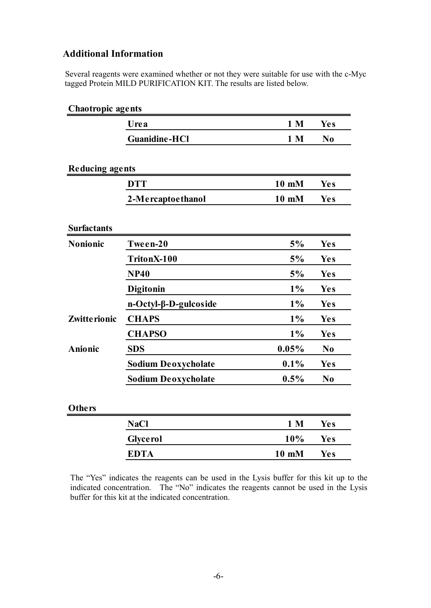# **Additional Information**

Several reagents were examined whether or not they were suitable for use with the c-Myc tagged Protein MILD PURIFICATION KIT. The results are listed below.

| <b>Chaotropic agents</b> |                             |                |                |
|--------------------------|-----------------------------|----------------|----------------|
|                          | Urea                        | 1 <sub>M</sub> | <b>Yes</b>     |
|                          | <b>Guanidine-HCI</b>        | 1 <sub>M</sub> | N <sub>0</sub> |
|                          |                             |                |                |
| <b>Reducing agents</b>   |                             |                |                |
|                          | <b>DTT</b>                  | 10 mM          | Yes            |
|                          | 2-Mercaptoethanol           | 10 mM          | <b>Yes</b>     |
| <b>Surfactants</b>       |                             |                |                |
| Nonionic                 | Tween-20                    | 5%             | <b>Yes</b>     |
|                          | TritonX-100                 | 5%             | Yes            |
|                          | <b>NP40</b>                 | 5%             | Yes            |
|                          | Digitonin                   | $1\%$          | <b>Yes</b>     |
|                          | $n-Octyl-\beta-D-gulcoside$ | $1\%$          | Yes            |
| Zwitte rionic            | <b>CHAPS</b>                | 1%             | Yes            |
|                          | <b>CHAPSO</b>               | $1\%$          | <b>Yes</b>     |
| Anionic                  | <b>SDS</b>                  | 0.05%          | N <sub>0</sub> |
|                          | <b>Sodium Deoxycholate</b>  | 0.1%           | <b>Yes</b>     |
|                          | <b>Sodium Deoxycholate</b>  | 0.5%           | N <sub>0</sub> |
| <b>Others</b>            |                             |                |                |
|                          | <b>NaCl</b>                 | 1 <sub>M</sub> | <b>Yes</b>     |
|                          | <b>Glyce rol</b>            | 10%            | <b>Yes</b>     |
|                          | <b>EDTA</b>                 | 10 mM          | Yes            |
|                          |                             |                |                |

The "Yes" indicates the reagents can be used in the Lysis buffer for this kit up to the indicated concentration. The "No" indicates the reagents cannot be used in the Lysis buffer for this kit at the indicated concentration.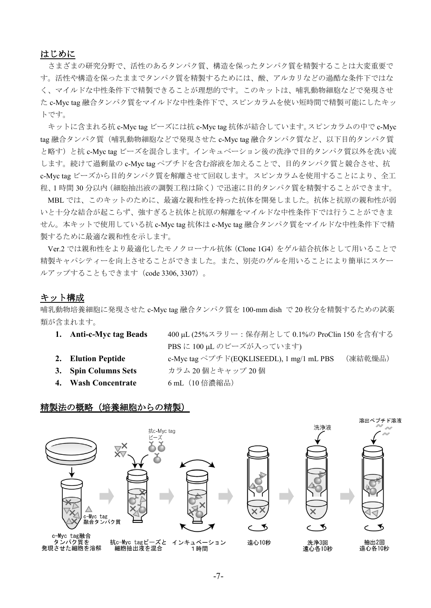#### はじめに

さまざまの研究分野で、活性のあるタンパク質、構造を保ったタンパク質を精製することは大変重要で す。活性や構造を保ったままでタンパク質を精製するためには、酸、アルカリなどの過酷な条件下ではな く、マイルドな中性条件下で精製できることが理想的です。このキットは、哺乳動物細胞などで発現させ た c-Myc tag 融合タンパク質をマイルドな中性条件下で、スピンカラムを使い短時間で精製可能にしたキッ トです。

キットに含まれる抗 c-Myc tag ビーズには抗 c-Myc tag 抗体が結合しています。スピンカラムの中で c-Myc tag 融合タンパク質(哺乳動物細胞などで発現させた c-Myc tag 融合タンパク質など、以下目的タンパク質 と略す)と抗 c-Myc tag ビーズを混合します。インキュベーション後の洗浄で目的タンパク質以外を洗い流 します。続けて過剰量の c-Myc tag ペプチドを含む溶液を加えることで、目的タンパク質と競合させ、抗 c-Myc tag ビーズから目的タンパク質を解離させて回収します。スピンカラムを使用することにより、全工 程、1 時間 30 分以内(細胞抽出液の調製工程は除く)で迅速に目的タンパク質を精製することができます。

MBL では、このキットのために、最適な親和性を持った抗体を開発しました。抗体と抗原の親和性が弱 いと十分な結合が起こらず、強すぎると抗体と抗原の解離をマイルドな中性条件下では行うことができま せん。本キットで使用している抗 c-Myc tag 抗体は c-Myc tag 融合タンパク質をマイルドな中性条件下で精 製するために最適な親和性を示します。

Ver.2 では親和性をより最適化したモノクローナル抗体(Clone 1G4)をゲル結合抗体として用いることで 精製キャパシティーを向上させることができました。また、別売のゲルを用いることにより簡単にスケー ルアップすることもできます(code 3306, 3307)。

#### キット構成

哺乳動物培養細胞に発現させた c-Myc tag 融合タンパク質を 100-mm dish で 20 枚分を精製するための試薬 類が含まれます。

| 1. Anti-c-Myc tag Beads | 400 μL (25%スラリー: 保存剤として 0.1%の ProClin 150 を含有する     |         |
|-------------------------|-----------------------------------------------------|---------|
|                         | PBS に 100 µL のビーズが入っています)                           |         |
| 2. Elution Peptide      | c-Myc tag $\sqrt{7}$ F F(EQKLISEEDL), 1 mg/1 mL PBS | (凍結乾燥品) |
| 3. Spin Columns Sets    | カラム 20個とキャップ 20個                                    |         |
| 4. Wash Concentrate     | 6 mL (10 倍濃縮品)                                      |         |

#### 精製法の概略(培養細胞からの精製)

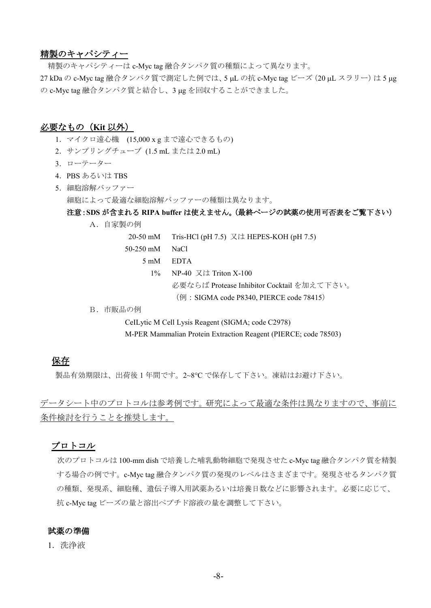#### 精製のキャパシティー

精製のキャパシティーは c-Myc tag 融合タンパク質の種類によって異なります。 27 kDa の c-Myc tag 融合タンパク質で測定した例では、5 µL の抗 c-Myc tag ビーズ (20 µL スラリー)は5 µg の c-Myc tag 融合タンパク質と結合し、3 µg を回収することができました。

#### 必要なもの(**Kit** 以外)

- 1.マイクロ遠心機 (15,000 x g まで遠心できるもの)
- 2.サンプリングチューブ (1.5 mL または 2.0 mL)
- 3.ローテーター
- 4.PBS あるいは TBS
- 5.細胞溶解バッファー 細胞によって最適な細胞溶解バッファーの種類は異なります。

#### 注意:**SDS** が含まれる **RIPA buffer** は使えません。(最終ページの試薬の使用可否表をご覧下さい)

A.自家製の例

20-50 mM Tris-HCl (pH 7.5) 又は HEPES-KOH (pH 7.5) 50-250 mM NaCl 5 mM EDTA 1% NP-40 又は Triton X-100 必要ならば Protease Inhibitor Cocktail を加えて下さい。 (例: SIGMA code P8340, PIERCE code 78415)

B.市販品の例

CeILytic M Cell Lysis Reagent (SIGMA; code C2978) M-PER Mammalian Protein Extraction Reagent (PIERCE; code 78503)

#### 保存

製品有効期限は、出荷後 1 年間です。2~8°C で保存して下さい。凍結はお避け下さい。

データシート中のプロトコルは参考例です。研究によって最適な条件は異なりますので、事前に 条件検討を行うことを推奨します。

#### プロトコル

次のプロトコルは 100-mm dish で培養した哺乳動物細胞で発現させた c-Myc tag 融合タンパク質を精製 する場合の例です。c-Myc tag 融合タンパク質の発現のレベルはさまざまです。発現させるタンパク質 の種類、発現系、細胞種、遺伝子導入用試薬あるいは培養日数などに影響されます。必要に応じて、 抗 c-Myc tag ビーズの量と溶出ペプチド溶液の量を調整して下さい。

#### 試薬の準備

1.洗浄液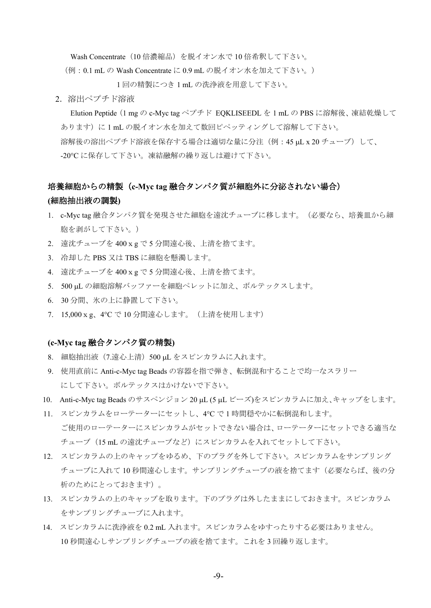Wash Concentrate (10 倍濃縮品) を脱イオン水で 10 倍希釈して下さい。

(例:0.1 mL の Wash Concentrate に 0.9 mL の脱イオン水を加えて下さい。)

1 回の精製につき 1 mL の洗浄液を用意して下さい。

2.溶出ペプチド溶液

 Elution Peptide(1 mg の c-Myc tag ペプチド EQKLISEEDL を 1 mL の PBS に溶解後、凍結乾燥して あります)に 1 mL の脱イオン水を加えて数回ピペッティングして溶解して下さい。 溶解後の溶出ペプチド溶液を保存する場合は適切な量に分注(例:45 µL x 20 チューブ)して、 -20°C に保存して下さい。凍結融解の繰り返しは避けて下さい。

# 培養細胞からの精製(**c-Myc tag** 融合タンパク質が細胞外に分泌されない場合)

#### **(**細胞抽出液の調製**)**

- 1. c-Myc tag 融合タンパク質を発現させた細胞を遠沈チューブに移します。(必要なら、培養皿から細 胞を剥がして下さい。)
- 2. 遠沈チューブを 400xg で 5 分間遠心後、上清を捨てます。
- 3. 冷却した PBS 又は TBS に細胞を懸濁します。
- 4. 遠沈チューブを 400xg で 5 分間遠心後、上清を捨てます。
- 5. 500 µL の細胞溶解バッファーを細胞ペレットに加え、ボルテックスします。
- 6. 30 分間、氷の上に静置して下さい。
- 7. 15,000xg、4°C で 10 分間遠心します。(上清を使用します)

#### **(c-Myc tag** 融合タンパク質の精製**)**

- 8. 細胞抽出液(7.遠心上清)500 µL をスピンカラムに入れます。
- 9. 使用直前に Anti-c-Myc tag Beads の容器を指で弾き、転倒混和することで均一なスラリー にして下さい。ボルテックスはかけないで下さい。
- 10. Anti-c-Myc tag Beads のサスペンジョン 20 µL (5 µL ビーズ)をスピンカラムに加え、キャップをします。
- 11. スピンカラムをローテーターにセットし、4°C で 1 時間穏やかに転倒混和します。 ご使用のローテーターにスピンカラムがセットできない場合は、ローテーターにセットできる適当な チューブ(15 mL の遠沈チューブなど)にスピンカラムを入れてセットして下さい。
- 12. スピンカラムの上のキャップをゆるめ、下のプラグを外して下さい。スピンカラムをサンプリング チューブに入れて 10 秒間遠心します。サンプリングチューブの液を捨てます(必要ならば、後の分 析のためにとっておきます)。
- 13. スピンカラムの上のキャップを取ります。下のプラグは外したままにしておきます。スピンカラム をサンプリングチューブに入れます。
- 14. スピンカラムに洗浄液を 0.2 mL 入れます。スピンカラムをゆすったりする必要はありません。 10 秒間遠心しサンプリングチューブの液を捨てます。これを 3 回繰り返します。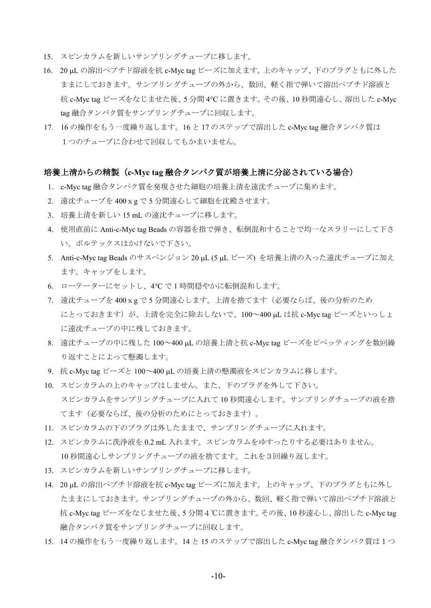- 15. スピンカラムを新しいサンプリングチューブに移します。
- 16. 20 µL の溶出ペプチド溶液を抗 c-Myc tag ビーズに加えます。上のキャップ、下のプラグともに外した ままにしておきます。サンプリングチューブの外から、数回、軽く指で弾いて溶出ペプチド溶液と 抗 c-Myc tag ビーズをなじませた後、5 分間 4°C に置きます。その後、10 秒間遠心し、溶出した c-Myc tag 融合タンパク質をサンプリングチューブに回収します。
- 17. 16 の操作をもう一度繰り返します。16 と 17 のステップで溶出した c-Myc tag 融合タンパク質は 1つのチューブに合わせて回収してもかまいません。

#### 培養上清からの精製(**c-Myc tag** 融合タンパク質が培養上清に分泌されている場合)

- 1. c-Myc tag 融合タンパク質を発現させた細胞の培養上清を遠沈チューブに集めます。
- 2. 遠沈チューブを 400xg で 5 分間遠心して細胞を沈殿させます。
- 3. 培養上清を新しい 15 mL の遠沈チューブに移します。
- 4. 使用直前に Anti-c-Myc tag Beads の容器を指で弾き、転倒混和することで均一なスラリーにして下さ い。ボルテックスはかけないで下さい。
- 5. Anti-c-Myc tag Beads のサスペンジョン 20 µL (5 µL ビーズ) を培養上清の入った遠沈チューブに加え ます。キャップをします。
- 6. ローテーターにセットし、4°C で 1 時間穏やかに転倒混和します。
- 7. 遠沈チューブを 400xg で 5 分間遠心します。上清を捨てます(必要ならば、後の分析のため にとっておきます)が、上清を完全に除去しないで、100~400 µL は抗 c-Myc tag ビーズといっしょ に遠沈チューブの中に残しておきます。
- 8. 遠沈チューブの中に残した 100~400 µL の培養上清と抗 c-Myc tag ビーズをピペッティングを数回繰 り返すことによって懸濁します。
- 9. 抗 c-Myc tag ビーズと 100~400 µL の培養上清の懸濁液をスピンカラムに移します。
- 10. スピンカラムの上のキャップはしません。また、下のプラグを外して下さい。 スピンカラムをサンプリングチューブに入れて 10 秒間遠心します。サンプリングチューブの液を捨 てます(必要ならば、後の分析のためにとっておきます)。
- 11. スピンカラムの下のプラグは外したままで、サンプリングチューブに入れます。
- 12. スピンカラムに洗浄液を 0.2 mL 入れます。スピンカラムをゆすったりする必要はありません。 10 秒間遠心しサンプリングチューブの液を捨てます。これを3回繰り返します。
- 13. スピンカラムを新しいサンプリングチューブに移します。
- 14. 20 µL の溶出ペプチド溶液を抗 c-Myc tag ビーズに加えます。上のキャップ、下のプラグともに外し たままにしておきます。サンプリングチューブの外から、数回、軽く指で弾いて溶出ペプチド溶液と 抗 c-Myc tag ビーズをなじませた後、5 分間4℃に置きます。その後、10 秒遠心し、溶出した c-Myc tag 融合タンパク質をサンプリングチューブに回収します。
- 15. 14 の操作をもう一度繰り返します。14 と 15 のステップで溶出した c-Myc tag 融合タンパク質は1つ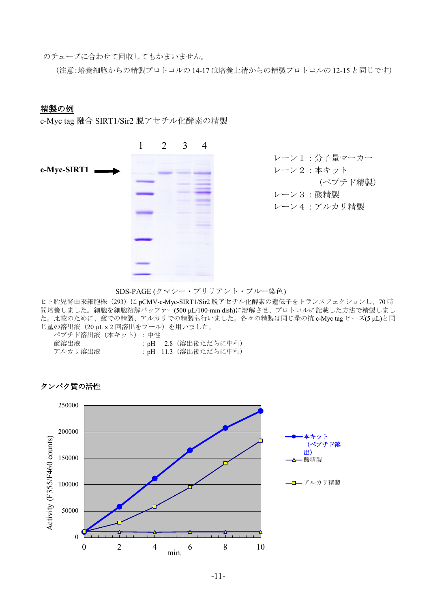のチューブに合わせて回収してもかまいません。

(注意:培養細胞からの精製プロトコルの 14-17 は培養上清からの精製プロトコルの 12-15 と同じです)

#### 精製の例

c-Myc tag 融合 SIRT1/Sir2 脱アセチル化酵素の精製



レーン1:分子量マーカー レーン2:本キット (ペプチド精製) レーン3:酸精製 レーン4:アルカリ精製

SDS-PAGE (クマシー・ブリリアント・ブルー染色)

ヒト胎児腎由来細胞株(293)に pCMV-c-Myc-SIRT1/Sir2 脱アセチル化酵素の遺伝子をトランスフェクションし、70 時 間培養しました。細胞を細胞溶解バッファー(500 µL/100-mm dish)に溶解させ、プロトコルに記載した方法で精製しまし た。比較のために、酸での精製、アルカリでの精製も行いました。各々の精製は同じ量の抗 c-Myc tag ビーズ(5 µL)と同 じ量の溶出液 (20 μL x 2 回溶出をプール)を用いました。

| ペプチド溶出液(本キット) : 中性 |                     |
|--------------------|---------------------|
| 酸溶出液               | :pH 2.8(溶出後ただちに中和)  |
| アルカリ溶出液            | :pH 11.3(溶出後ただちに中和) |



#### タンパク質の活性